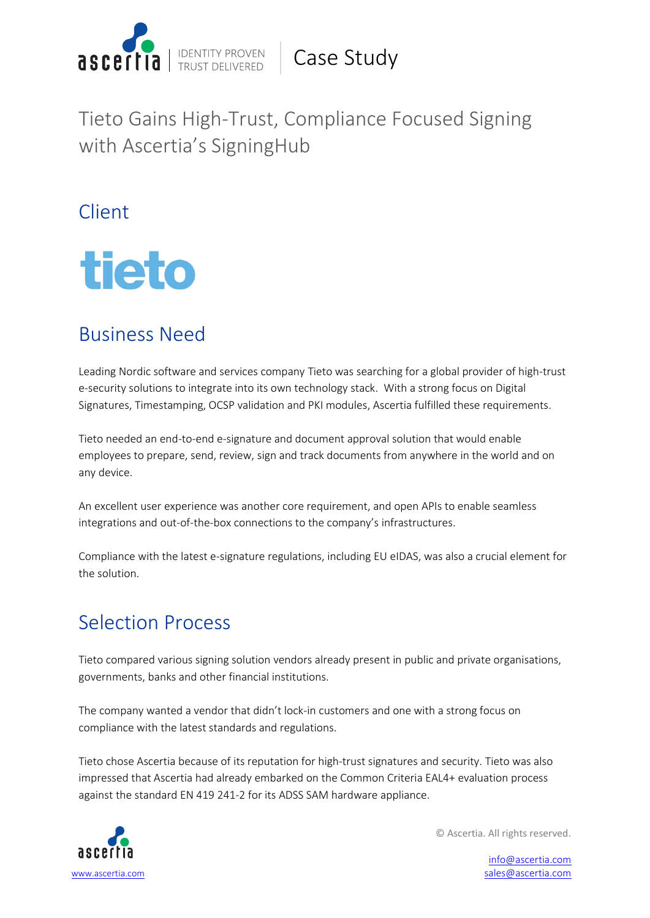

Tieto Gains High-Trust, Compliance Focused Signing with Ascertia's SigningHub

Client



## Business Need

Leading Nordic software and services company Tieto was searching for a global provider of high-trust e-security solutions to integrate into its own technology stack. With a strong focus on Digital Signatures, Timestamping, OCSP validation and PKI modules, Ascertia fulfilled these requirements.

Tieto needed an end-to-end e-signature and document approval solution that would enable employees to prepare, send, review, sign and track documents from anywhere in the world and on any device.

An excellent user experience was another core requirement, and open APIs to enable seamless integrations and out-of-the-box connections to the company's infrastructures.

Compliance with the latest e-signature regulations, including EU eIDAS, was also a crucial element for the solution.

## Selection Process

Tieto compared various signing solution vendors already present in public and private organisations, governments, banks and other financial institutions.

The company wanted a vendor that didn't lock-in customers and one with a strong focus on compliance with the latest standards and regulations.

Tieto chose Ascertia because of its reputation for high-trust signatures and security. Tieto was also impressed that Ascertia had already embarked on the Common Criteria EAL4+ evaluation process against the standard EN 419 241-2 for its ADSS SAM hardware appliance.



© Ascertia. All rights reserved.

info@ascertia.com sales@ascertia.com